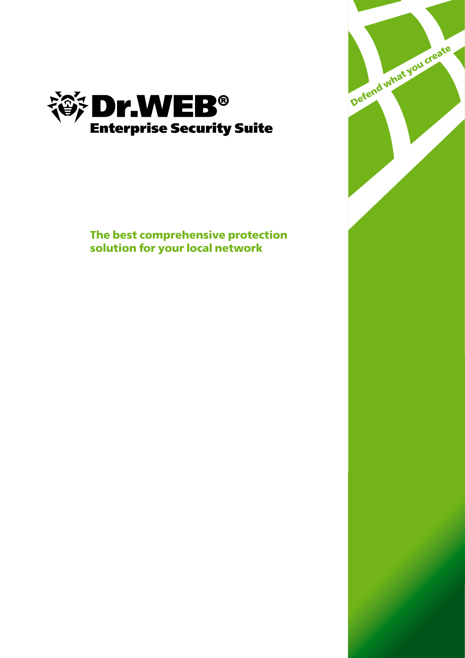

**The best comprehensive protection solution for your local network** 

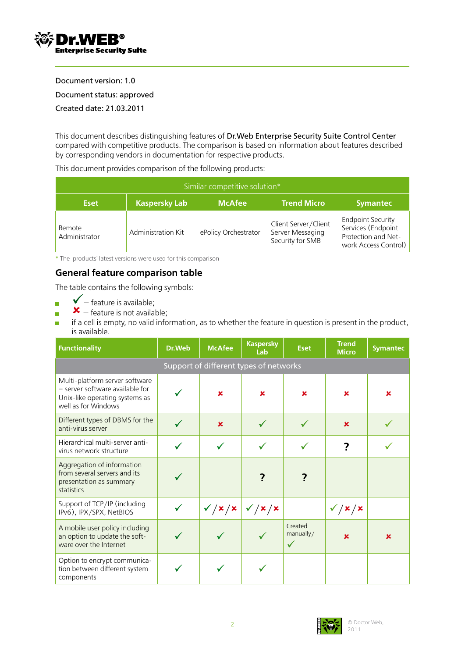

Document version: 1.0 Document status: approved Created date: 21.03.2011

This document describes distinguishing features of Dr.Web Enterprise Security Suite Control Center compared with competitive products. The comparison is based on information about features described by corresponding vendors in documentation for respective products.

This document provides comparison of the following products:

| Similar competitive solution* |                      |                      |                                                              |                                                                                               |  |  |
|-------------------------------|----------------------|----------------------|--------------------------------------------------------------|-----------------------------------------------------------------------------------------------|--|--|
| <b>Eset</b>                   | <b>Kaspersky Lab</b> | <b>McAfee</b>        | <b>Trend Micro</b>                                           | <b>Symantec</b>                                                                               |  |  |
| Remote<br>Administrator       | Administration Kit   | ePolicy Orchestrator | Client Server/Client<br>Server Messaging<br>Security for SMB | <b>Endpoint Security</b><br>Services (Endpoint<br>Protection and Net-<br>work Access Control) |  |  |

\* The products' latest versions were used for this comparison

## **General feature comparison table**

The table contains the following symbols:

- $\checkmark$  feature is available;  $\blacksquare$
- $\mathbf{x}$  feature is not available;  $\overline{\mathbf{r}}$
- if a cell is empty, no valid information, as to whether the feature in question is present in the product,  $\overline{\mathcal{L}}$ is available.

| <b>Functionality</b>                                                                                                       | Dr.Web | <b>McAfee</b> | <b>Kaspersky</b><br>Lab                | <b>Eset</b>                          | <b>Trend</b><br><b>Micro</b> | <b>Symantec</b>           |
|----------------------------------------------------------------------------------------------------------------------------|--------|---------------|----------------------------------------|--------------------------------------|------------------------------|---------------------------|
|                                                                                                                            |        |               | Support of different types of networks |                                      |                              |                           |
| Multi-platform server software<br>- server software available for<br>Unix-like operating systems as<br>well as for Windows |        | $\mathbf x$   | $\mathbf x$                            | $\mathbf x$                          | ×                            | ×                         |
| Different types of DBMS for the<br>anti-virus server                                                                       |        | $\mathbf x$   |                                        |                                      | $\mathbf x$                  |                           |
| Hierarchical multi-server anti-<br>virus network structure                                                                 |        |               |                                        |                                      | 7                            |                           |
| Aggregation of information<br>from several servers and its<br>presentation as summary<br>statistics                        |        |               |                                        | ?                                    |                              |                           |
| Support of TCP/IP (including<br>IPv6), IPX/SPX, NetBIOS                                                                    |        |               | $\sqrt{x/x}$ $\sqrt{x/x}$              |                                      | $\checkmark$ / x / x         |                           |
| A mobile user policy including<br>an option to update the soft-<br>ware over the Internet                                  |        |               |                                        | Created<br>manually/<br>$\checkmark$ | $\mathbf x$                  | $\boldsymbol{\mathsf{x}}$ |
| Option to encrypt communica-<br>tion between different system<br>components                                                |        |               |                                        |                                      |                              |                           |

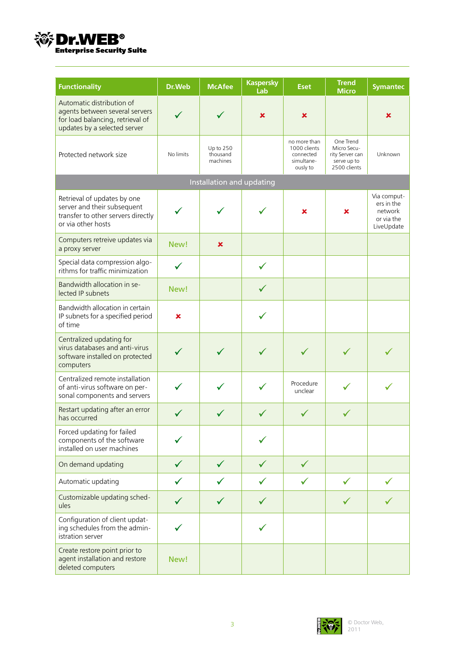

| <b>Functionality</b>                                                                                                            | Dr.Web    | <b>McAfee</b>                     | <b>Kaspersky</b><br>Lab | <b>Eset</b>                                                         | <b>Trend</b><br><b>Micro</b>                                               | <b>Symantec</b>                                                  |
|---------------------------------------------------------------------------------------------------------------------------------|-----------|-----------------------------------|-------------------------|---------------------------------------------------------------------|----------------------------------------------------------------------------|------------------------------------------------------------------|
| Automatic distribution of<br>agents between several servers<br>for load balancing, retrieval of<br>updates by a selected server |           |                                   | ×                       | $\pmb{\times}$                                                      |                                                                            | ×                                                                |
| Protected network size                                                                                                          | No limits | Up to 250<br>thousand<br>machines |                         | no more than<br>1000 clients<br>connected<br>simultane-<br>ously to | One Trend<br>Micro Secu-<br>rity Server can<br>serve up to<br>2500 clients | Unknown                                                          |
|                                                                                                                                 |           | Installation and updating         |                         |                                                                     |                                                                            |                                                                  |
| Retrieval of updates by one<br>server and their subsequent<br>transfer to other servers directly<br>or via other hosts          |           |                                   |                         | ×                                                                   | ×                                                                          | Via comput-<br>ers in the<br>network<br>or via the<br>LiveUpdate |
| Computers retreive updates via<br>a proxy server                                                                                | New!      | $\pmb{\times}$                    |                         |                                                                     |                                                                            |                                                                  |
| Special data compression algo-<br>rithms for traffic minimization                                                               |           |                                   |                         |                                                                     |                                                                            |                                                                  |
| Bandwidth allocation in se-<br>lected IP subnets                                                                                | New!      |                                   | $\checkmark$            |                                                                     |                                                                            |                                                                  |
| Bandwidth allocation in certain<br>IP subnets for a specified period<br>of time                                                 | ×         |                                   |                         |                                                                     |                                                                            |                                                                  |
| Centralized updating for<br>virus databases and anti-virus<br>software installed on protected<br>computers                      |           |                                   |                         |                                                                     |                                                                            |                                                                  |
| Centralized remote installation<br>of anti-virus software on per-<br>sonal components and servers                               |           |                                   |                         | Procedure<br>unclear                                                |                                                                            |                                                                  |
| Restart updating after an error<br>has occurred                                                                                 |           |                                   |                         |                                                                     |                                                                            |                                                                  |
| Forced updating for failed<br>components of the software<br>installed on user machines                                          |           |                                   |                         |                                                                     |                                                                            |                                                                  |
| On demand updating                                                                                                              |           | ✓                                 |                         | ✓                                                                   |                                                                            |                                                                  |
| Automatic updating                                                                                                              |           |                                   |                         | ✓                                                                   |                                                                            |                                                                  |
| Customizable updating sched-<br>ules                                                                                            |           |                                   |                         |                                                                     |                                                                            |                                                                  |
| Configuration of client updat-<br>ing schedules from the admin-<br>istration server                                             |           |                                   |                         |                                                                     |                                                                            |                                                                  |
| Create restore point prior to<br>agent installation and restore<br>deleted computers                                            | New!      |                                   |                         |                                                                     |                                                                            |                                                                  |

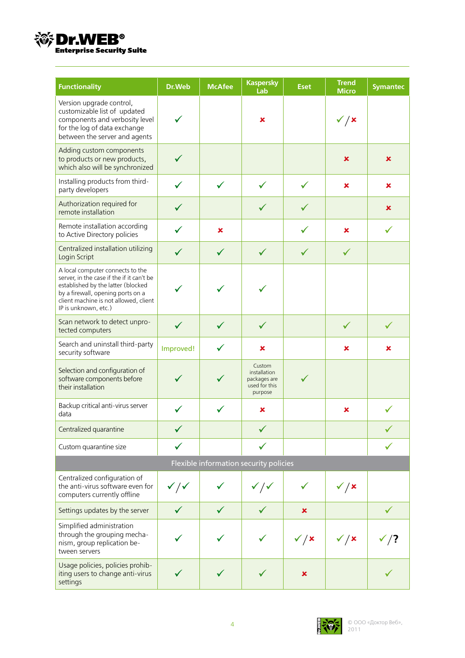

| <b>Functionality</b>                                                                                                                                                                                                      | Dr.Web                      | <b>McAfee</b> | <b>Kaspersky</b><br>Lab                                            | <b>Eset</b>      | <b>Trend</b><br><b>Micro</b> | <b>Symantec</b>  |
|---------------------------------------------------------------------------------------------------------------------------------------------------------------------------------------------------------------------------|-----------------------------|---------------|--------------------------------------------------------------------|------------------|------------------------------|------------------|
| Version upgrade control,<br>customizable list of updated<br>components and verbosity level<br>for the log of data exchange<br>between the server and agents                                                               |                             |               | ×                                                                  |                  | $\checkmark$ / x             |                  |
| Adding custom components<br>to products or new products,<br>which also will be synchronized                                                                                                                               |                             |               |                                                                    |                  | $\boldsymbol{\mathsf{x}}$    | ×                |
| Installing products from third-<br>party developers                                                                                                                                                                       |                             | ✓             | $\checkmark$                                                       | $\checkmark$     | $\mathbf x$                  | ×                |
| Authorization required for<br>remote installation                                                                                                                                                                         |                             |               | ✓                                                                  | ✓                |                              | ×                |
| Remote installation according<br>to Active Directory policies                                                                                                                                                             |                             | ×             |                                                                    |                  | $\mathbf x$                  |                  |
| Centralized installation utilizing<br>Login Script                                                                                                                                                                        |                             | $\checkmark$  | $\checkmark$                                                       | ✓                | $\checkmark$                 |                  |
| A local computer connects to the<br>server, in the case if the if it can't be<br>established by the latter (blocked<br>by a firewall, opening ports on a<br>client machine is not allowed, client<br>IP is unknown, etc.) |                             |               |                                                                    |                  |                              |                  |
| Scan network to detect unpro-<br>tected computers                                                                                                                                                                         | $\checkmark$                | $\checkmark$  | ✓                                                                  |                  | ✓                            | $\checkmark$     |
| Search and uninstall third-party<br>security software                                                                                                                                                                     | Improved!                   | ✓             | ×                                                                  |                  | $\pmb{\times}$               | ×                |
| Selection and configuration of<br>software components before<br>their installation                                                                                                                                        |                             |               | Custom<br>installation<br>packages are<br>used for this<br>purpose |                  |                              |                  |
| Backup critical anti-virus server<br>data                                                                                                                                                                                 |                             |               | ×                                                                  |                  | ×                            |                  |
| Centralized quarantine                                                                                                                                                                                                    |                             |               |                                                                    |                  |                              |                  |
| Custom quarantine size                                                                                                                                                                                                    |                             |               |                                                                    |                  |                              |                  |
|                                                                                                                                                                                                                           |                             |               | Flexible information security policies                             |                  |                              |                  |
| Centralized configuration of<br>the anti-virus software even for<br>computers currently offline                                                                                                                           | $\checkmark$ / $\checkmark$ |               | $\checkmark$ / $\checkmark$                                        |                  | $\checkmark$ / x             |                  |
| Settings updates by the server                                                                                                                                                                                            |                             | $\checkmark$  |                                                                    | ×                |                              | $\checkmark$     |
| Simplified administration<br>through the grouping mecha-<br>nism, group replication be-<br>tween servers                                                                                                                  |                             |               |                                                                    | $\checkmark$ / x | $\checkmark$ / x             | $\checkmark$ ) ? |
| Usage policies, policies prohib-<br>iting users to change anti-virus<br>settings                                                                                                                                          |                             | ✓             |                                                                    | ×                |                              |                  |

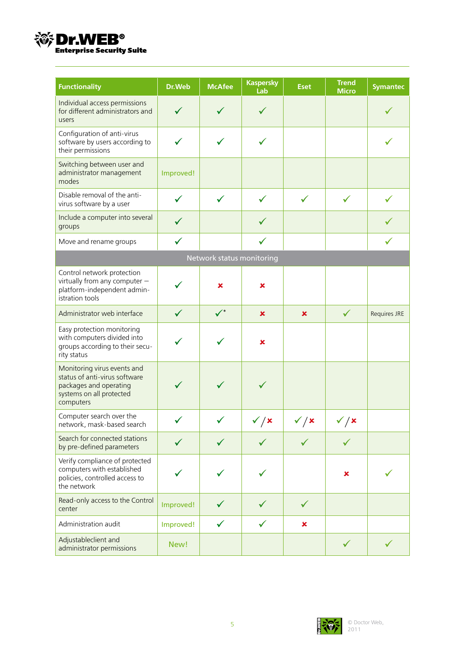

| <b>Functionality</b>                                                                                                            | Dr.Web       | <b>McAfee</b>             | <b>Kaspersky</b><br>Lab | <b>Eset</b>                             | <b>Trend</b><br><b>Micro</b> | <b>Symantec</b> |
|---------------------------------------------------------------------------------------------------------------------------------|--------------|---------------------------|-------------------------|-----------------------------------------|------------------------------|-----------------|
| Individual access permissions<br>for different administrators and<br>users                                                      |              |                           |                         |                                         |                              |                 |
| Configuration of anti-virus<br>software by users according to<br>their permissions                                              |              |                           |                         |                                         |                              |                 |
| Switching between user and<br>administrator management<br>modes                                                                 | Improved!    |                           |                         |                                         |                              |                 |
| Disable removal of the anti-<br>virus software by a user                                                                        |              |                           |                         | ✓                                       | ✓                            |                 |
| Include a computer into several<br>groups                                                                                       |              |                           |                         |                                         |                              |                 |
| Move and rename groups                                                                                                          | $\checkmark$ |                           |                         |                                         |                              |                 |
|                                                                                                                                 |              | Network status monitoring |                         |                                         |                              |                 |
| Control network protection<br>virtually from any computer -<br>platform-independent admin-<br>istration tools                   |              | ×                         | ×                       |                                         |                              |                 |
| Administrator web interface                                                                                                     |              | $\checkmark^*$            | ×                       | ×                                       | $\checkmark$                 | Requires JRE    |
| Easy protection monitoring<br>with computers divided into<br>groups according to their secu-<br>rity status                     |              |                           | ×                       |                                         |                              |                 |
| Monitoring virus events and<br>status of anti-virus software<br>packages and operating<br>systems on all protected<br>computers |              |                           |                         |                                         |                              |                 |
| Computer search over the<br>network, mask-based search                                                                          |              |                           | $\checkmark$ / x        | $\checkmark$ / $\checkmark$<br>$\prime$ | $\checkmark$ / x             |                 |
| Search for connected stations<br>by pre-defined parameters                                                                      |              |                           |                         | ✓                                       |                              |                 |
| Verify compliance of protected<br>computers with established<br>policies, controlled access to<br>the network                   |              |                           |                         |                                         | ×                            |                 |
| Read-only access to the Control<br>center                                                                                       | Improved!    |                           |                         | $\checkmark$                            |                              |                 |
| Administration audit                                                                                                            | Improved!    |                           |                         | ×                                       |                              |                 |
| Adjustableclient and<br>administrator permissions                                                                               | New!         |                           |                         |                                         |                              |                 |

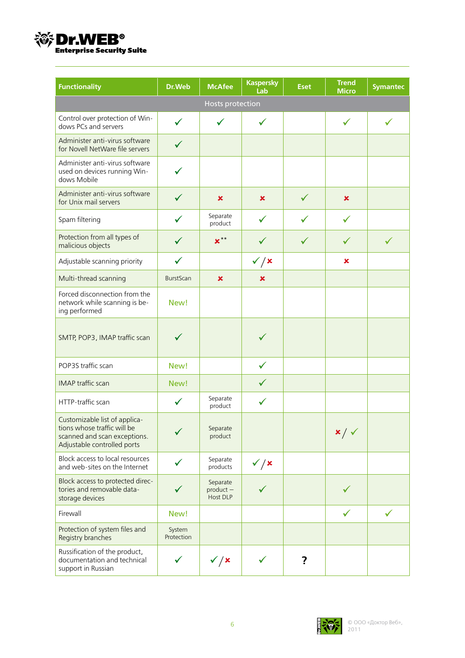

| <b>Functionality</b>                                                                                                        | Dr.Web               | <b>McAfee</b>                       | <b>Kaspersky</b><br>Lab | <b>Eset</b>  | <b>Trend</b><br><b>Micro</b> | <b>Symantec</b> |
|-----------------------------------------------------------------------------------------------------------------------------|----------------------|-------------------------------------|-------------------------|--------------|------------------------------|-----------------|
|                                                                                                                             |                      | <b>Hosts protection</b>             |                         |              |                              |                 |
| Control over protection of Win-<br>dows PCs and servers                                                                     | $\checkmark$         |                                     |                         |              | ✓                            |                 |
| Administer anti-virus software<br>for Novell NetWare file servers                                                           | ✓                    |                                     |                         |              |                              |                 |
| Administer anti-virus software<br>used on devices running Win-<br>dows Mobile                                               |                      |                                     |                         |              |                              |                 |
| Administer anti-virus software<br>for Unix mail servers                                                                     |                      | ×                                   | ×                       | $\checkmark$ | ×                            |                 |
| Spam filtering                                                                                                              | $\checkmark$         | Separate<br>product                 | ✓                       | $\checkmark$ | ✓                            |                 |
| Protection from all types of<br>malicious objects                                                                           |                      | $x^{\ast\ast}$                      |                         | ✓            |                              | ✓               |
| Adjustable scanning priority                                                                                                | $\checkmark$         |                                     | $\checkmark$ / x        |              | ×                            |                 |
| Multi-thread scanning                                                                                                       | <b>BurstScan</b>     | $\mathbf x$                         | ×                       |              |                              |                 |
| Forced disconnection from the<br>network while scanning is be-<br>ing performed                                             | New!                 |                                     |                         |              |                              |                 |
| SMTP, POP3, IMAP traffic scan                                                                                               |                      |                                     |                         |              |                              |                 |
| POP3S traffic scan                                                                                                          | New!                 |                                     |                         |              |                              |                 |
| <b>IMAP</b> traffic scan                                                                                                    | New!                 |                                     |                         |              |                              |                 |
| HTTP-traffic scan                                                                                                           | $\checkmark$         | Separate<br>product                 |                         |              |                              |                 |
| Customizable list of applica-<br>tions whose traffic will be<br>scanned and scan exceptions.<br>Adjustable controlled ports |                      | Separate<br>product                 |                         |              | $x / \sqrt$                  |                 |
| Block access to local resources<br>and web-sites on the Internet                                                            |                      | Separate<br>products                | $\checkmark$ / x        |              |                              |                 |
| Block access to protected direc-<br>tories and removable data-<br>storage devices                                           |                      | Separate<br>$product -$<br>Host DLP |                         |              |                              |                 |
| Firewall                                                                                                                    | New!                 |                                     |                         |              | ✓                            | $\checkmark$    |
| Protection of system files and<br>Registry branches                                                                         | System<br>Protection |                                     |                         |              |                              |                 |
| Russification of the product,<br>documentation and technical<br>support in Russian                                          |                      | $\checkmark$ / x                    | $\checkmark$            | ?            |                              |                 |

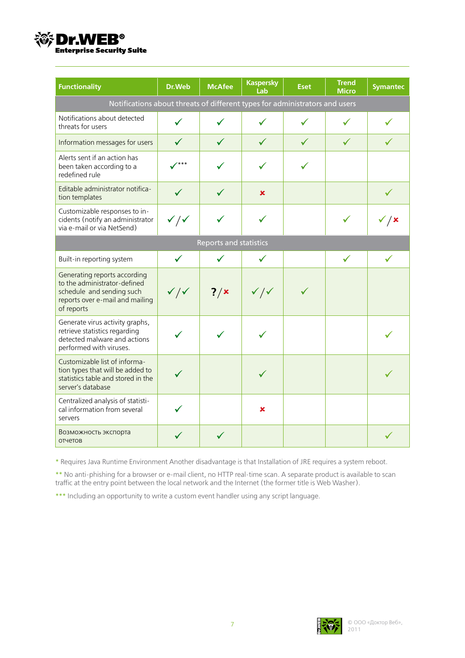

| <b>Functionality</b>                                                                                                                       | Dr.Web                      | <b>McAfee</b>                 | <b>Kaspersky</b><br>Lab     | <b>Eset</b> | <b>Trend</b><br><b>Micro</b> | <b>Symantec</b> |
|--------------------------------------------------------------------------------------------------------------------------------------------|-----------------------------|-------------------------------|-----------------------------|-------------|------------------------------|-----------------|
| Notifications about threats of different types for administrators and users                                                                |                             |                               |                             |             |                              |                 |
| Notifications about detected<br>threats for users                                                                                          |                             |                               |                             |             |                              |                 |
| Information messages for users                                                                                                             | $\checkmark$                |                               |                             | ✓           |                              |                 |
| Alerts sent if an action has<br>been taken according to a<br>redefined rule                                                                | ***                         |                               |                             |             |                              |                 |
| Editable administrator notifica-<br>tion templates                                                                                         |                             |                               | ×                           |             |                              |                 |
| Customizable responses to in-<br>cidents (notify an administrator<br>via e-mail or via NetSend)                                            | $\checkmark$ / $\checkmark$ |                               |                             |             |                              | √ / ×           |
|                                                                                                                                            |                             | <b>Reports and statistics</b> |                             |             |                              |                 |
| Built-in reporting system                                                                                                                  | $\checkmark$                |                               | ✓                           |             | ✓                            |                 |
| Generating reports according<br>to the administrator-defined<br>schedule and sending such<br>reports over e-mail and mailing<br>of reports | $\checkmark$ / $\checkmark$ | $?$ / $\times$                | $\checkmark$ / $\checkmark$ | ✓           |                              |                 |
| Generate virus activity graphs,<br>retrieve statistics regarding<br>detected malware and actions<br>performed with viruses.                |                             |                               |                             |             |                              |                 |
| Customizable list of informa-<br>tion types that will be added to<br>statistics table and stored in the<br>server's database               |                             |                               |                             |             |                              |                 |
| Centralized analysis of statisti-<br>cal information from several<br>servers                                                               |                             |                               | ×                           |             |                              |                 |
| Возможность экспорта<br>отчетов                                                                                                            |                             |                               |                             |             |                              |                 |

\* Requires Java Runtime Environment Another disadvantage is that Installation of JRE requires a system reboot.

\*\* No anti-phishing for a browser or e-mail client, no HTTP real-time scan. A separate product is available to scan traffic at the entry point between the local network and the Internet (the former title is Web Washer).

\*\*\* Including an opportunity to write a custom event handler using any script language.

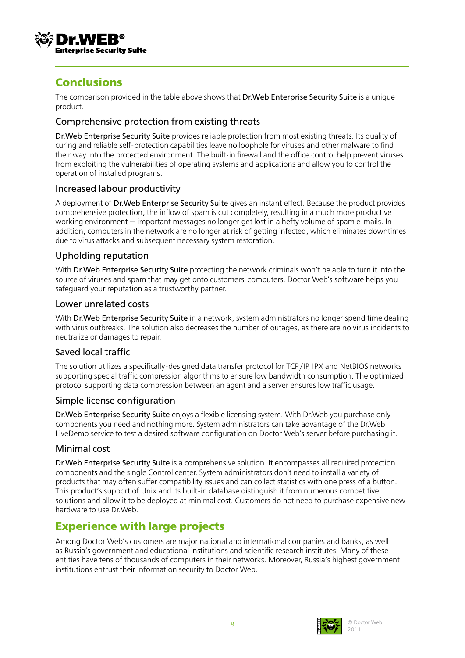

# **Conclusions**

The comparison provided in the table above shows that Dr.Web Enterprise Security Suite is a unique product.

## Comprehensive protection from existing threats

Dr.Web Enterprise Security Suite provides reliable protection from most existing threats. Its quality of curing and reliable self-protection capabilities leave no loophole for viruses and other malware to find their way into the protected environment. The built-in firewall and the office control help prevent viruses from exploiting the vulnerabilities of operating systems and applications and allow you to control the operation of installed programs.

### Increased labour productivity

A deployment of Dr.Web Enterprise Security Suite gives an instant effect. Because the product provides comprehensive protection, the inflow of spam is cut completely, resulting in a much more productive working environment — important messages no longer get lost in a hefty volume of spam e-mails. In addition, computers in the network are no longer at risk of getting infected, which eliminates downtimes due to virus attacks and subsequent necessary system restoration.

## Upholding reputation

With Dr. Web Enterprise Security Suite protecting the network criminals won't be able to turn it into the source of viruses and spam that may get onto customers' computers. Doctor Web's software helps you safeguard your reputation as a trustworthy partner.

#### Lower unrelated costs

With Dr. Web Enterprise Security Suite in a network, system administrators no longer spend time dealing with virus outbreaks. The solution also decreases the number of outages, as there are no virus incidents to neutralize or damages to repair.

### Saved local traffic

The solution utilizes a specifically-designed data transfer protocol for TCP/IP, IPX and NetBIOS networks supporting special traffic compression algorithms to ensure low bandwidth consumption. The optimized protocol supporting data compression between an agent and a server ensures low traffic usage.

### Simple license configuration

Dr.Web Enterprise Security Suite enjoys a flexible licensing system. With Dr.Web you purchase only components you need and nothing more. System administrators can take advantage of the Dr.Web LiveDemo service to test a desired software configuration on Doctor Web's server before purchasing it.

### Minimal cost

Dr.Web Enterprise Security Suite is a comprehensive solution. It encompasses all required protection components and the single Control center. System administrators don't need to install a variety of products that may often suffer compatibility issues and can collect statistics with one press of a button. This product's support of Unix and its built-in database distinguish it from numerous competitive solutions and allow it to be deployed at minimal cost. Customers do not need to purchase expensive new hardware to use Dr.Web.

# **Experience with large projects**

Among Doctor Web's customers are major national and international companies and banks, as well as Russia's government and educational institutions and scientific research institutes. Many of these entities have tens of thousands of computers in their networks. Moreover, Russia's highest government institutions entrust their information security to Doctor Web.

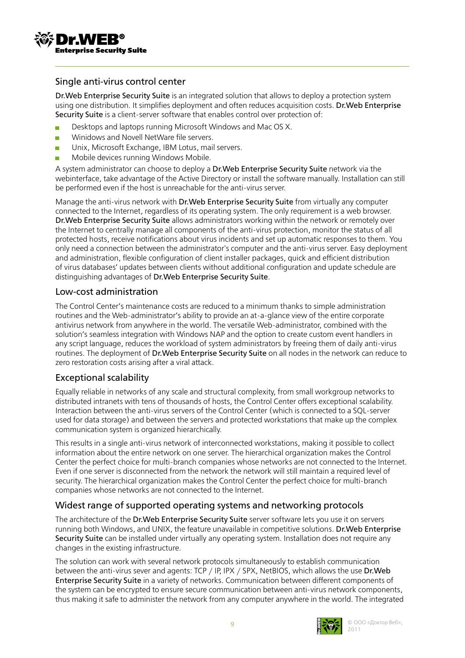

#### Single anti-virus control center

Dr.Web Enterprise Security Suite is an integrated solution that allows to deploy a protection system using one distribution. It simplifies deployment and often reduces acquisition costs. Dr.Web Enterprise Security Suite is a client-server software that enables control over protection of:

- Desktops and laptops running Microsoft Windows and Mac OS X.
- Winidows and Novell NetWare file servers.  $\overline{\phantom{a}}$
- Unix, Microsoft Exchange, IBM Lotus, mail servers.  $\overline{\phantom{a}}$
- Mobile devices running Windows Mobile.

A system administrator can choose to deploy a Dr.Web Enterprise Security Suite network via the webinterface, take advantage of the Active Directory or install the software manually. Installation can still be performed even if the host is unreachable for the anti-virus server.

Manage the anti-virus network with Dr.Web Enterprise Security Suite from virtually any computer connected to the Internet, regardless of its operating system. The only requirement is a web browser. Dr.Web Enterprise Security Suite allows administrators working within the network or remotely over the Internet to centrally manage all components of the anti-virus protection, monitor the status of all protected hosts, receive notifications about virus incidents and set up automatic responses to them. You only need a connection between the administrator's computer and the anti-virus server. Easy deployment and administration, flexible configuration of client installer packages, quick and efficient distribution of virus databases' updates between clients without additional configuration and update schedule are distinguishing advantages of Dr.Web Enterprise Security Suite.

#### Low-cost administration

The Control Center's maintenance costs are reduced to a minimum thanks to simple administration routines and the Web-administrator's ability to provide an at-a-glance view of the entire corporate antivirus network from anywhere in the world. The versatile Web-administrator, combined with the solution's seamless integration with Windows NAP and the option to create custom event handlers in any script language, reduces the workload of system administrators by freeing them of daily anti-virus routines. The deployment of Dr.Web Enterprise Security Suite on all nodes in the network can reduce to zero restoration costs arising after a viral attack.

### Exceptional scalability

Equally reliable in networks of any scale and structural complexity, from small workgroup networks to distributed intranets with tens of thousands of hosts, the Control Center offers exceptional scalability. Interaction between the anti-virus servers of the Control Center (which is connected to a SQL-server used for data storage) and between the servers and protected workstations that make up the complex communication system is organized hierarchically.

This results in a single anti-virus network of interconnected workstations, making it possible to collect information about the entire network on one server. The hierarchical organization makes the Control Center the perfect choice for multi-branch companies whose networks are not connected to the Internet. Even if one server is disconnected from the network the network will still maintain a required level of security. The hierarchical organization makes the Control Center the perfect choice for multi-branch companies whose networks are not connected to the Internet.

## Widest range of supported operating systems and networking protocols

The architecture of the Dr. Web Enterprise Security Suite server software lets you use it on servers running both Windows, and UNIX, the feature unavailable in competitive solutions. Dr.Web Enterprise Security Suite can be installed under virtually any operating system. Installation does not require any changes in the existing infrastructure.

The solution can work with several network protocols simultaneously to establish communication between the anti-virus sever and agents: TCP / IP, IPX / SPX, NetBIOS, which allows the use Dr. Web Enterprise Security Suite in a variety of networks. Communication between different components of the system can be encrypted to ensure secure communication between anti-virus network components, thus making it safe to administer the network from any computer anywhere in the world. The integrated

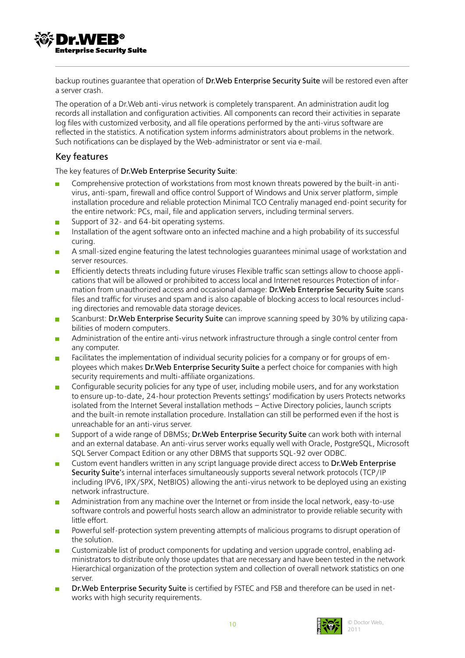**Enterprise Security Suite** 

backup routines guarantee that operation of Dr.Web Enterprise Security Suite will be restored even after a server crash.

The operation of a Dr.Web anti-virus network is completely transparent. An administration audit log records all installation and configuration activities. All components can record their activities in separate log files with customized verbosity, and all file operations performed by the anti-virus software are reflected in the statistics. A notification system informs administrators about problems in the network. Such notifications can be displayed by the Web-administrator or sent via e-mail.

## Key features

The key features of Dr.Web Enterprise Security Suite:

- Comprehensive protection of workstations from most known threats powered by the built-in antivirus, anti-spam, firewall and office control Support of Windows and Unix server platform, simple installation procedure and reliable protection Minimal TCO Centraliy managed end-point security for the entire network: PCs, mail, file and application servers, including terminal servers.
- Support of 32- and 64-bit operating systems.  $\mathcal{C}^{\mathcal{A}}$
- Installation of the agent software onto an infected machine and a high probability of its successful curing.
- A small-sized engine featuring the latest technologies guarantees minimal usage of workstation and  $\overline{\mathcal{C}}$ server resources.
- Efficiently detects threats including future viruses Flexible traffic scan settings allow to choose appli- $\mathbf{r}$ cations that will be allowed or prohibited to access local and Internet resources Protection of information from unauthorized access and occasional damage: Dr.Web Enterprise Security Suite scans files and traffic for viruses and spam and is also capable of blocking access to local resources including directories and removable data storage devices.
- Scanburst: Dr.Web Enterprise Security Suite can improve scanning speed by 30% by utilizing capa- $\overline{\phantom{a}}$ bilities of modern computers.
- Administration of the entire anti-virus network infrastructure through a single control center from  $\mathcal{L}$ any computer.
- Facilitates the implementation of individual security policies for a company or for groups of em- $\sim$ ployees which makes Dr.Web Enterprise Security Suite a perfect choice for companies with high security requirements and multi-affiliate organizations.
- Configurable security policies for any type of user, including mobile users, and for any workstation  $\mathcal{C}^{\mathcal{A}}$ to ensure up-to-date, 24-hour protection Prevents settings' modification by users Protects networks isolated from the Internet Several installation methods – Active Directory policies, launch scripts and the built-in remote installation procedure. Installation can still be performed even if the host is unreachable for an anti-virus server.
- Support of a wide range of DBMSs; Dr.Web Enterprise Security Suite can work both with internal and an external database. An anti-virus server works equally well with Oracle, PostgreSQL, Microsoft SQL Server Compact Edition or any other DBMS that supports SQL-92 over ODBC.
- Custom event handlers written in any script language provide direct access to Dr.Web Enterprise  $\mathcal{C}^{\mathcal{A}}$ Security Suite's internal interfaces simultaneously supports several network protocols (TCP/IP including IPV6, IPX/SPX, NetBIOS) allowing the anti-virus network to be deployed using an existing network infrastructure.
- Administration from any machine over the Internet or from inside the local network, easy-to-use Ħ software controls and powerful hosts search allow an administrator to provide reliable security with little effort.
- Powerful self-protection system preventing attempts of malicious programs to disrupt operation of  $\overline{\phantom{a}}$ the solution.
- Customizable list of product components for updating and version upgrade control, enabling ad-T. ministrators to distribute only those updates that are necessary and have been tested in the network Hierarchical organization of the protection system and collection of overall network statistics on one server.
- Dr.Web Enterprise Security Suite is certified by FSTEC and FSB and therefore can be used in net- $\mathcal{C}^{\mathcal{A}}$ works with high security requirements.

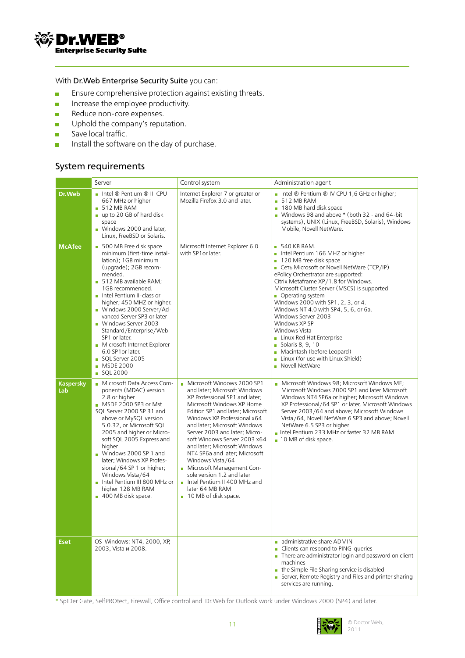

#### With Dr.Web Enterprise Security Suite you can:

- Ensure comprehensive protection against existing threats.  $\overline{\phantom{a}}$
- Increase the employee productivity.  $\overline{\phantom{a}}$
- Reduce non-core expenses.  $\overline{\phantom{a}}$
- Uphold the company's reputation. **D**
- Save local traffic.  $\overline{\phantom{a}}$
- Install the software on the day of purchase.  $\overline{\phantom{a}}$

#### System requirements

|                         | Server                                                                                                                                                                                                                                                                                                                                                                                                                                                         | Control system                                                                                                                                                                                                                                                                                                                                                                                                                                                                                                             | Administration agent                                                                                                                                                                                                                                                                                                                                                                                                                                                                                                                                                     |
|-------------------------|----------------------------------------------------------------------------------------------------------------------------------------------------------------------------------------------------------------------------------------------------------------------------------------------------------------------------------------------------------------------------------------------------------------------------------------------------------------|----------------------------------------------------------------------------------------------------------------------------------------------------------------------------------------------------------------------------------------------------------------------------------------------------------------------------------------------------------------------------------------------------------------------------------------------------------------------------------------------------------------------------|--------------------------------------------------------------------------------------------------------------------------------------------------------------------------------------------------------------------------------------------------------------------------------------------------------------------------------------------------------------------------------------------------------------------------------------------------------------------------------------------------------------------------------------------------------------------------|
| Dr.Web                  | Intel ® Pentium ® III CPU<br>667 MHz or higher<br>$\blacksquare$ 512 MB RAM<br>$\blacksquare$ up to 20 GB of hard disk<br>space<br>Windows 2000 and later,<br>Linux, FreeBSD or Solaris.                                                                                                                                                                                                                                                                       | Internet Explorer 7 or greater or<br>Mozilla Firefox 3.0 and later.                                                                                                                                                                                                                                                                                                                                                                                                                                                        | Intel ® Pentium ® IV CPU 1,6 GHz or higher;<br>512 MB RAM<br>m.<br>180 MB hard disk space<br>m.<br>Windows 98 and above * (both 32 - and 64-bit<br>systems), UNIX (Linux, FreeBSD, Solaris), Windows<br>Mobile, Novell NetWare.                                                                                                                                                                                                                                                                                                                                          |
| <b>McAfee</b>           | 500 MB Free disk space<br>minimum (first-time instal-<br>lation); 1GB minimum<br>(upgrade); 2GB recom-<br>mended.<br>512 MB available RAM;<br>1GB recommended.<br>Intel Pentium II-class or<br>higher; 450 MHZ or higher.<br>Windows 2000 Server/Ad-<br>vanced Server SP3 or later<br>Windows Server 2003<br>Standard/Enterprise/Web<br>SP1 or later.<br>Microsoft Internet Explorer<br>6.0 SP1 or later.<br>SQL Server 2005<br><b>MSDE 2000</b><br>■ SQL 2000 | Microsoft Internet Explorer 6.0<br>with SP1 or later.                                                                                                                                                                                                                                                                                                                                                                                                                                                                      | $\blacksquare$ 540 KB RAM.<br>Intel Pentium 166 MHZ or higher<br>120 MB free disk space<br>Ceta Microsoft or Novell NetWare (TCP/IP)<br>ePolicy Orchestrator are supported:<br>Citrix Metaframe XP/1.8 for Windows.<br>Microsoft Cluster Server (MSCS) is supported<br>• Operating system<br>Windows 2000 with SP1, 2, 3, or 4.<br>Windows NT 4.0 with SP4, 5, 6, or 6a.<br>Windows Server 2003<br>Windows XP SP<br>Windows Vista<br>Linux Red Hat Enterprise<br>■ Solaris 8, 9, 10<br>Macintash (before Leopard)<br>Linux (for use with Linux Shield)<br>Novell NetWare |
| <b>Kaspersky</b><br>Lab | Microsoft Data Access Com-<br>ponents (MDAC) version<br>2.8 or higher<br>MSDE 2000 SP3 or Mst<br>SQL Server 2000 SP 31 and<br>above or MySQL version<br>5.0.32, or Microsoft SQL<br>2005 and higher or Micro-<br>soft SQL 2005 Express and<br>higher<br>Windows 2000 SP 1 and<br>later; Windows XP Profes-<br>sional/64 SP 1 or higher;<br>Windows Vista/64<br>Intel Pentium III 800 MHz or<br>higher 128 MB RAM<br>400 MB disk space.                         | Microsoft Windows 2000 SP1<br>and later; Microsoft Windows<br>XP Professional SP1 and later;<br>Microsoft Windows XP Home<br>Edition SP1 and later; Microsoft<br>Windows XP Professional x64<br>and later; Microsoft Windows<br>Server 2003 and later; Micro-<br>soft Windows Server 2003 x64<br>and later; Microsoft Windows<br>NT4 SP6a and later; Microsoft<br>Windows Vista/64<br>Microsoft Management Con-<br>sole version 1.2 and later<br>Intel Pentium II 400 MHz and<br>later 64 MB RAM<br>■ 10 MB of disk space. | ■ Microsoft Windows 98; Microsoft Windows ME;<br>Microsoft Windows 2000 SP1 and later Microsoft<br>Windows NT4 SP6a or higher; Microsoft Windows<br>XP Professional/64 SP1 or later, Microsoft Windows<br>Server 2003/64 and above; Microsoft Windows<br>Vista/64, Novell NetWare 6 SP3 and above; Novell<br>NetWare 6.5 SP3 or higher<br>Intel Pentium 233 MHz or faster 32 MB RAM<br>10 MB of disk space.                                                                                                                                                              |
| <b>Eset</b>             | OS Windows: NT4, 2000, XP,<br>2003, Vista и 2008.                                                                                                                                                                                                                                                                                                                                                                                                              |                                                                                                                                                                                                                                                                                                                                                                                                                                                                                                                            | administrative share ADMIN<br>• Clients can respond to PING-queries<br>There are administrator login and password on client<br>machines<br>the Simple File Sharing service is disabled<br>Server, Remote Registry and Files and printer sharing<br>services are running.                                                                                                                                                                                                                                                                                                 |

\* SpIDer Gate, SelfPROtect, Firewall, Office control and Dr.Web for Outlook work under Windows 2000 (SP4) and later.